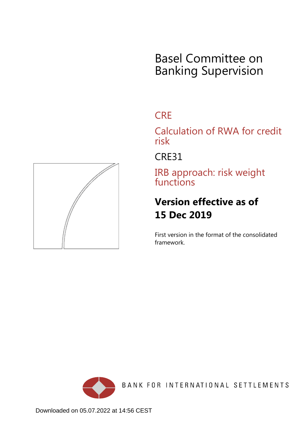# Basel Committee on Banking Supervision

# **CRE**

Calculation of RWA for credit risk

CRE31

IRB approach: risk weight functions

# **Version effective as of 15 Dec 2019**

First version in the format of the consolidated framework.



BANK FOR INTERNATIONAL SETTLEMENTS

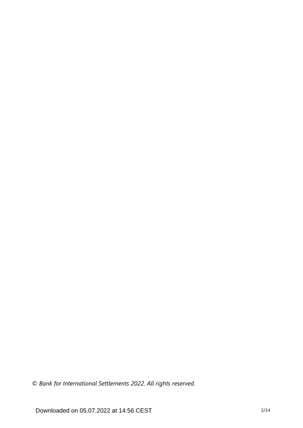*© Bank for International Settlements 2022. All rights reserved.*

Downloaded on 05.07.2022 at 14:56 CEST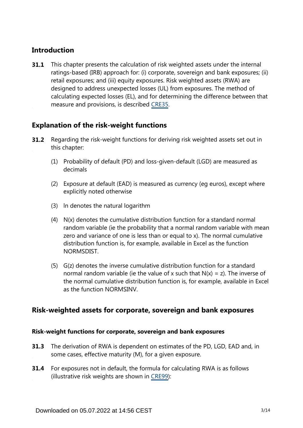# **Introduction**

This chapter presents the calculation of risk weighted assets under the internal ratings-based (IRB) approach for: (i) corporate, sovereign and bank exposures; (ii) retail exposures; and (iii) equity exposures. Risk weighted assets (RWA) are designed to address unexpected losses (UL) from exposures. The method of calculating expected losses (EL), and for determining the difference between that measure and provisions, is described [CRE35.](https://www.bis.org/basel_framework/chapter/CRE/35.htm?tldate=20210228&inforce=20191215&published=20191215) **31.1**

# **Explanation of the risk-weight functions**

- Regarding the risk-weight functions for deriving risk weighted assets set out in this chapter: **31.2**
	- (1) Probability of default (PD) and loss-given-default (LGD) are measured as decimals
	- (2) Exposure at default (EAD) is measured as currency (eg euros), except where explicitly noted otherwise
	- (3) ln denotes the natural logarithm
	- (4) N(x) denotes the cumulative distribution function for a standard normal random variable (ie the probability that a normal random variable with mean zero and variance of one is less than or equal to x). The normal cumulative distribution function is, for example, available in Excel as the function NORMSDIST.
	- (5) G(z) denotes the inverse cumulative distribution function for a standard normal random variable (ie the value of x such that  $N(x) = z$ ). The inverse of the normal cumulative distribution function is, for example, available in Excel as the function NORMSINV.

# **Risk-weighted assets for corporate, sovereign and bank exposures**

## **Risk-weight functions for corporate, sovereign and bank exposures**

- **31.3** The derivation of RWA is dependent on estimates of the PD, LGD, EAD and, in some cases, effective maturity (M), for a given exposure.
- **31.4** For exposures not in default, the formula for calculating RWA is as follows (illustrative risk weights are shown in [CRE99](https://www.bis.org/basel_framework/chapter/CRE/99.htm?tldate=20210228&inforce=20191215&published=20191215)):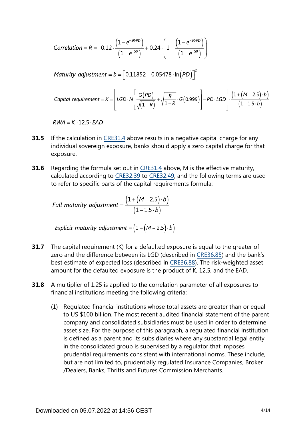Correlation = R = 0.12 
$$
\cdot \frac{(1-e^{-50.PD})}{(1-e^{-50})}
$$
 + 0.24  $\cdot \left(1 - \frac{(1-e^{-50.PD})}{(1-e^{-50})}\right)$ 

Maturity adjustment =  $b = \left[ 0.11852 - 0.05478 \cdot \ln(PD) \right]^2$ 

\n
$$
\text{Capital requirement} = K = \left[ \text{LGD} \cdot N \left[ \frac{G(PD)}{\sqrt{(1-R)}} + \sqrt{\frac{R}{1-R}} \cdot G(0.999) \right] - PD \cdot \text{LGD} \right] \cdot \frac{\left( 1 + (M - 2.5) \cdot b \right)}{\left( 1 - 1.5 \cdot b \right)}
$$
\n

 $RWA = K \cdot 12.5 \cdot EAD$ 

- If the calculation in [CRE31.4](https://www.bis.org/basel_framework/chapter/CRE/31.htm?tldate=20210228&inforce=20191215&published=20191215#paragraph_CRE_31_20191215_31_4) above results in a negative capital charge for any individual sovereign exposure, banks should apply a zero capital charge for that exposure. **31.5**
- Regarding the formula set out in [CRE31.4](https://www.bis.org/basel_framework/chapter/CRE/31.htm?tldate=20210228&inforce=20191215&published=20191215#paragraph_CRE_31_20191215_31_4) above, M is the effective maturity, calculated according to [CRE32.39](https://www.bis.org/basel_framework/chapter/CRE/32.htm?tldate=20210228&inforce=20191215&published=20191215#paragraph_CRE_32_20191215_32_39) to [CRE32.49](https://www.bis.org/basel_framework/chapter/CRE/32.htm?tldate=20210228&inforce=20191215&published=20191215#paragraph_CRE_32_20191215_32_49), and the following terms are used to refer to specific parts of the capital requirements formula: **31.6**

Full maturity adjustment = 
$$
\frac{(1 + (M - 2.5) \cdot b)}{(1 - 1.5 \cdot b)}
$$

Explicit maturity adjustment =  $(1 + (M - 2.5) \cdot b)$ 

- The capital requirement (K) for a defaulted exposure is equal to the greater of zero and the difference between its LGD (described in [CRE36.85\)](https://www.bis.org/basel_framework/chapter/CRE/36.htm?tldate=20210228&inforce=20191215&published=20191215#paragraph_CRE_36_20191215_36_85) and the bank's best estimate of expected loss (described in [CRE36.88](https://www.bis.org/basel_framework/chapter/CRE/36.htm?tldate=20210228&inforce=20191215&published=20191215#paragraph_CRE_36_20191215_36_88)). The risk-weighted asset amount for the defaulted exposure is the product of K, 12.5, and the EAD. **31.7**
- A multiplier of 1.25 is applied to the correlation parameter of all exposures to financial institutions meeting the following criteria: **31.8**
	- (1) Regulated financial institutions whose total assets are greater than or equal to US \$100 billion. The most recent audited financial statement of the parent company and consolidated subsidiaries must be used in order to determine asset size. For the purpose of this paragraph, a regulated financial institution is defined as a parent and its subsidiaries where any substantial legal entity in the consolidated group is supervised by a regulator that imposes prudential requirements consistent with international norms. These include, but are not limited to, prudentially regulated Insurance Companies, Broker /Dealers, Banks, Thrifts and Futures Commission Merchants.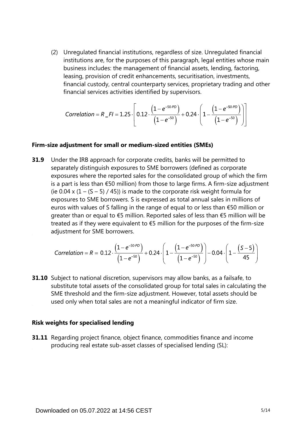(2) Unregulated financial institutions, regardless of size. Unregulated financial institutions are, for the purposes of this paragraph, legal entities whose main business includes: the management of financial assets, lending, factoring, leasing, provision of credit enhancements, securitisation, investments, financial custody, central counterparty services, proprietary trading and other financial services activities identified by supervisors.

Correlation = 
$$
R_F I = 1.25 \cdot \left[ 0.12 \cdot \frac{\left(1 - e^{-50.9D}\right)}{\left(1 - e^{-50.9}\right)} + 0.24 \cdot \left(1 - \frac{\left(1 - e^{-50.9D}\right)}{\left(1 - e^{-50.9}\right)}\right) \right]
$$

#### **Firm-size adjustment for small or medium-sized entities (SMEs)**

Under the IRB approach for corporate credits, banks will be permitted to separately distinguish exposures to SME borrowers (defined as corporate exposures where the reported sales for the consolidated group of which the firm is a part is less than €50 million) from those to large firms. A firm-size adjustment (ie 0.04 x  $(1 - (S - 5) / 45)$ ) is made to the corporate risk weight formula for exposures to SME borrowers. S is expressed as total annual sales in millions of euros with values of S falling in the range of equal to or less than €50 million or greater than or equal to €5 million. Reported sales of less than €5 million will be treated as if they were equivalent to  $\epsilon$ 5 million for the purposes of the firm-size adjustment for SME borrowers. **31.9**

Correlation = R = 0.12 
$$
\cdot \frac{(1-e^{-50 \cdot PD})}{(1-e^{-50})}
$$
 + 0.24  $\cdot \left(1 - \frac{(1-e^{-50 \cdot PD})}{(1-e^{-50})}\right)$  - 0.04  $\cdot \left(1 - \frac{(S-5)}{45}\right)$ 

**31.10** Subject to national discretion, supervisors may allow banks, as a failsafe, to substitute total assets of the consolidated group for total sales in calculating the SME threshold and the firm-size adjustment. However, total assets should be used only when total sales are not a meaningful indicator of firm size.

#### **Risk weights for specialised lending**

**31.11** Regarding project finance, object finance, commodities finance and income producing real estate sub-asset classes of specialised lending (SL):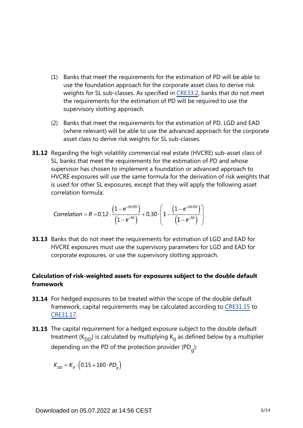- (1) Banks that meet the requirements for the estimation of PD will be able to use the foundation approach for the corporate asset class to derive risk weights for SL sub-classes. As specified in [CRE33.2,](https://www.bis.org/basel_framework/chapter/CRE/33.htm?tldate=20210228&inforce=20191215&published=20191215#paragraph_CRE_33_20191215_33_2) banks that do not meet the requirements for the estimation of PD will be required to use the supervisory slotting approach.
- (2) Banks that meet the requirements for the estimation of PD, LGD and EAD (where relevant) will be able to use the advanced approach for the corporate asset class to derive risk weights for SL sub-classes.
- **31.12** Regarding the high volatility commercial real estate (HVCRE) sub-asset class of SL, banks that meet the requirements for the estimation of PD and whose supervisor has chosen to implement a foundation or advanced approach to HVCRE exposures will use the same formula for the derivation of risk weights that is used for other SL exposures, except that they will apply the following asset correlation formula:

$$
Correlation = R = 0.12 \cdot \frac{\left(1 - e^{-50 \cdot PD}\right)}{\left(1 - e^{-50}\right)} + 0.30 \cdot \left(1 - \frac{\left(1 - e^{-50 \cdot PD}\right)}{\left(1 - e^{-50}\right)}\right)
$$

**31.13** Banks that do not meet the requirements for estimation of LGD and EAD for HVCRE exposures must use the supervisory parameters for LGD and EAD for corporate exposures, or use the supervisory slotting approach.

# **Calculation of risk-weighted assets for exposures subject to the double default framework**

- **31.14** For hedged exposures to be treated within the scope of the double default framework, capital requirements may be calculated according to [CRE31.15](https://www.bis.org/basel_framework/chapter/CRE/31.htm?tldate=20210228&inforce=20191215&published=20191215#paragraph_CRE_31_20191215_31_15) to [CRE31.17](https://www.bis.org/basel_framework/chapter/CRE/31.htm?tldate=20210228&inforce=20191215&published=20191215#paragraph_CRE_31_20191215_31_17).
- **31.15** The capital requirement for a hedged exposure subject to the double default treatment (K<sub>DD</sub>) is calculated by multiplying K<sub>0</sub> as defined below by a multiplier depending on the PD of the protection provider (PD<sub>g</sub>):

 $K_{DD} = K_q \cdot (0.15 + 160 \cdot PD_q)$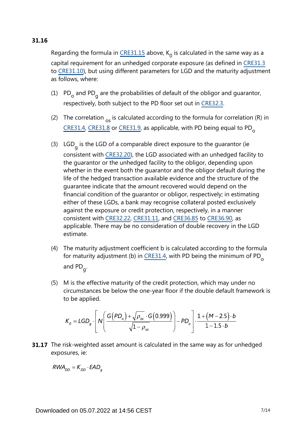# **31.16**

Regarding the formula in [CRE31.15](https://www.bis.org/basel_framework/chapter/CRE/31.htm?tldate=20210228&inforce=20191215&published=20191215#paragraph_CRE_31_20191215_31_15) above,  $K_0$  is calculated in the same way as a capital requirement for an unhedged corporate exposure (as defined in [CRE31.3](https://www.bis.org/basel_framework/chapter/CRE/31.htm?tldate=20210228&inforce=20191215&published=20191215#paragraph_CRE_31_20191215_31_3) to [CRE31.10\)](https://www.bis.org/basel_framework/chapter/CRE/31.htm?tldate=20210228&inforce=20191215&published=20191215#paragraph_CRE_31_20191215_31_10), but using different parameters for LGD and the maturity adjustment as follows, where:

- (1)  $PD_{o}$  and PD<sub>g</sub> are the probabilities of default of the obligor and guarantor, respectively, both subject to the PD floor set out in [CRE32.3](https://www.bis.org/basel_framework/chapter/CRE/32.htm?tldate=20210228&inforce=20191215&published=20191215#paragraph_CRE_32_20191215_32_3).
- (2) The correlation  $_{\text{os}}$  is calculated according to the formula for correlation (R) in  $CRE$ 31.4,  $CRE$ 31.8 or  $CRE$ 31.9, as applicable, with PD being equal to PD<sub>o</sub>
- (3) LGD<sub>g</sub> is the LGD of a comparable direct exposure to the guarantor (ie consistent with [CRE32.20](https://www.bis.org/basel_framework/chapter/CRE/32.htm?tldate=20210228&inforce=20191215&published=20191215#paragraph_CRE_32_20191215_32_20)), the LGD associated with an unhedged facility to the guarantor or the unhedged facility to the obligor, depending upon whether in the event both the guarantor and the obligor default during the life of the hedged transaction available evidence and the structure of the guarantee indicate that the amount recovered would depend on the financial condition of the guarantor or obligor, respectively; in estimating either of these LGDs, a bank may recognise collateral posted exclusively against the exposure or credit protection, respectively, in a manner consistent with [CRE32.22](https://www.bis.org/basel_framework/chapter/CRE/32.htm?tldate=20210228&inforce=20191215&published=20191215#paragraph_CRE_32_20191215_32_22), [CRE31.11](https://www.bis.org/basel_framework/chapter/CRE/31.htm?tldate=20210228&inforce=20191215&published=20191215#paragraph_CRE_31_20191215_31_11), and [CRE36.85](https://www.bis.org/basel_framework/chapter/CRE/36.htm?tldate=20210228&inforce=20191215&published=20191215#paragraph_CRE_36_20191215_36_85) to [CRE36.90,](https://www.bis.org/basel_framework/chapter/CRE/36.htm?tldate=20210228&inforce=20191215&published=20191215#paragraph_CRE_36_20191215_36_90) as applicable. There may be no consideration of double recovery in the LGD estimate.
- (4) The maturity adjustment coefficient b is calculated according to the formula for maturity adjustment (b) in [CRE31.4](https://www.bis.org/basel_framework/chapter/CRE/31.htm?tldate=20210228&inforce=20191215&published=20191215#paragraph_CRE_31_20191215_31_4), with PD being the minimum of PD<sub>o</sub> and PD<sub>g</sub>.
- (5) M is the effective maturity of the credit protection, which may under no circumstances be below the one-year floor if the double default framework is to be applied.

$$
K_o = LGD_g \cdot \left[ N \left( \frac{G(PD_o) + \sqrt{\rho_{os}} \cdot G(0.999)}{\sqrt{1 - \rho_{os}}} \right) - PD_o \right] \cdot \frac{1 + (M - 2.5) \cdot b}{1 - 1.5 \cdot b}
$$

**31.17** The risk-weighted asset amount is calculated in the same way as for unhedged exposures, ie:

 $RWA_{DD} = K_{DD} \cdot EAD_a$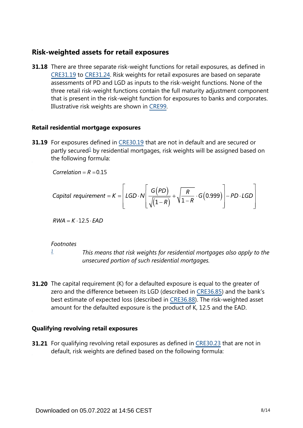# **Risk-weighted assets for retail exposures**

**31.18** There are three separate risk-weight functions for retail exposures, as defined in [CRE31.19](https://www.bis.org/basel_framework/chapter/CRE/31.htm?tldate=20210228&inforce=20191215&published=20191215#paragraph_CRE_31_20191215_31_19) to [CRE31.24](https://www.bis.org/basel_framework/chapter/CRE/31.htm?tldate=20210228&inforce=20191215&published=20191215#paragraph_CRE_31_20191215_31_24). Risk weights for retail exposures are based on separate assessments of PD and LGD as inputs to the risk-weight functions. None of the three retail risk-weight functions contain the full maturity adjustment component that is present in the risk-weight function for exposures to banks and corporates. Illustrative risk weights are shown in [CRE99](https://www.bis.org/basel_framework/chapter/CRE/99.htm?tldate=20210228&inforce=20191215&published=20191215).

#### **Retail residential mortgage exposures**

<span id="page-7-1"></span>**31.19** For exposures defined in [CRE30.19](https://www.bis.org/basel_framework/chapter/CRE/30.htm?tldate=20210228&inforce=20191215&published=20191215#paragraph_CRE_30_20191215_30_19) that are not in default and are secured or partly secured<sup>[1](#page-7-0)</sup> by residential mortgages, risk weights will be assigned based on the following formula:

Correlation =  $R = 0.15$ 

\n
$$
\text{Capital requirement} = K = \left[ \text{LGD} \cdot N \left[ \frac{G(PD)}{\sqrt{\left(1 - R\right)}} + \sqrt{\frac{R}{1 - R}} \cdot G\left(0.999\right) \right] - PD \cdot LGD \right]
$$
\n

 $RWA = K \cdot 12.5 \cdot EAD$ 

#### *Footnotes*

*[1](#page-7-1)*

*This means that risk weights for residential mortgages also apply to the unsecured portion of such residential mortgages.*

<span id="page-7-0"></span>**31.20** The capital requirement (K) for a defaulted exposure is equal to the greater of zero and the difference between its LGD (described in [CRE36.85\)](https://www.bis.org/basel_framework/chapter/CRE/36.htm?tldate=20210228&inforce=20191215&published=20191215#paragraph_CRE_36_20191215_36_85) and the bank's best estimate of expected loss (described in [CRE36.88](https://www.bis.org/basel_framework/chapter/CRE/36.htm?tldate=20210228&inforce=20191215&published=20191215#paragraph_CRE_36_20191215_36_88)). The risk-weighted asset amount for the defaulted exposure is the product of K, 12.5 and the EAD.

#### **Qualifying revolving retail exposures**

**31.21** For qualifying revolving retail exposures as defined in [CRE30.23](https://www.bis.org/basel_framework/chapter/CRE/30.htm?tldate=20210228&inforce=20191215&published=20191215#paragraph_CRE_30_20191215_30_23) that are not in default, risk weights are defined based on the following formula: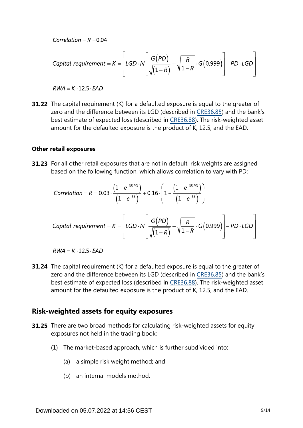Correlation =  $R = 0.04$ 

\n
$$
\text{Capital requirement} = K = \left[ \text{LGD} \cdot N \left[ \frac{G(PD)}{\sqrt{\left(1 - R\right)}} + \sqrt{\frac{R}{1 - R}} \cdot G(0.999) \right] - PD \cdot LGD \right]
$$
\n

 $RWA = K \cdot 12.5 \cdot EAD$ 

**31.22** The capital requirement (K) for a defaulted exposure is equal to the greater of zero and the difference between its LGD (described in [CRE36.85\)](https://www.bis.org/basel_framework/chapter/CRE/36.htm?tldate=20210228&inforce=20191215&published=20191215#paragraph_CRE_36_20191215_36_85) and the bank's best estimate of expected loss (described in [CRE36.88](https://www.bis.org/basel_framework/chapter/CRE/36.htm?tldate=20210228&inforce=20191215&published=20191215#paragraph_CRE_36_20191215_36_88)). The risk-weighted asset amount for the defaulted exposure is the product of K, 12.5, and the EAD.

#### **Other retail exposures**

**31.23** For all other retail exposures that are not in default, risk weights are assigned based on the following function, which allows correlation to vary with PD:

Correlation = R = 0.03 
$$
\cdot \frac{(1-e^{-35.PD})}{(1-e^{-35})} + 0.16 \cdot \left(1 - \frac{(1-e^{-35.PD})}{(1-e^{-35})}\right)
$$

\n
$$
\text{Capital requirement} = K = \left[ \text{LGD} \cdot N \left[ \frac{G(PD)}{\sqrt{(1-R)}} + \sqrt{\frac{R}{1-R}} \cdot G(0.999) \right] - PD \cdot LGD \right]
$$
\n

 $RWA = K \cdot 12.5 \cdot EAD$ 

**31.24** The capital requirement (K) for a defaulted exposure is equal to the greater of zero and the difference between its LGD (described in [CRE36.85\)](https://www.bis.org/basel_framework/chapter/CRE/36.htm?tldate=20210228&inforce=20191215&published=20191215#paragraph_CRE_36_20191215_36_85) and the bank's best estimate of expected loss (described in [CRE36.88](https://www.bis.org/basel_framework/chapter/CRE/36.htm?tldate=20210228&inforce=20191215&published=20191215#paragraph_CRE_36_20191215_36_88)). The risk-weighted asset amount for the defaulted exposure is the product of K, 12.5, and the EAD.

## **Risk-weighted assets for equity exposures**

- **31.25** There are two broad methods for calculating risk-weighted assets for equity exposures not held in the trading book:
	- (1) The market-based approach, which is further subdivided into:
		- (a) a simple risk weight method; and
		- (b) an internal models method.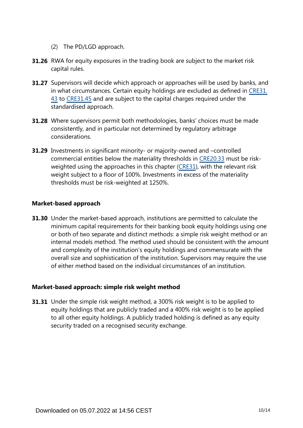- (2) The PD/LGD approach.
- **31.26** RWA for equity exposures in the trading book are subject to the market risk capital rules.
- **31.27** Supervisors will decide which approach or approaches will be used by banks, and in what circumstances. Certain equity holdings are excluded as defined in [CRE31.](https://www.bis.org/basel_framework/chapter/CRE/31.htm?tldate=20210228&inforce=20191215&published=20191215#paragraph_CRE_31_20191215_31_43) [43](https://www.bis.org/basel_framework/chapter/CRE/31.htm?tldate=20210228&inforce=20191215&published=20191215#paragraph_CRE_31_20191215_31_43) to [CRE31.45](https://www.bis.org/basel_framework/chapter/CRE/31.htm?tldate=20210228&inforce=20191215&published=20191215#paragraph_CRE_31_20191215_31_45) and are subject to the capital charges required under the standardised approach.
- **31.28** Where supervisors permit both methodologies, banks' choices must be made consistently, and in particular not determined by regulatory arbitrage considerations.
- **31.29** Investments in significant minority- or majority-owned and -controlled commercial entities below the materiality thresholds in [CRE20.33](https://www.bis.org/basel_framework/chapter/CRE/20.htm?tldate=20210228&inforce=20191215&published=20191215#paragraph_CRE_20_20191215_20_33) must be riskweighted using the approaches in this chapter [\(CRE31\)](https://www.bis.org/basel_framework/chapter/CRE/31.htm?tldate=20210228&inforce=20191215&published=20191215), with the relevant risk weight subject to a floor of 100%. Investments in excess of the materiality thresholds must be risk-weighted at 1250%.

#### **Market-based approach**

**31.30** Under the market-based approach, institutions are permitted to calculate the minimum capital requirements for their banking book equity holdings using one or both of two separate and distinct methods: a simple risk weight method or an internal models method. The method used should be consistent with the amount and complexity of the institution's equity holdings and commensurate with the overall size and sophistication of the institution. Supervisors may require the use of either method based on the individual circumstances of an institution.

## **Market-based approach: simple risk weight method**

**31.31** Under the simple risk weight method, a 300% risk weight is to be applied to equity holdings that are publicly traded and a 400% risk weight is to be applied to all other equity holdings. A publicly traded holding is defined as any equity security traded on a recognised security exchange.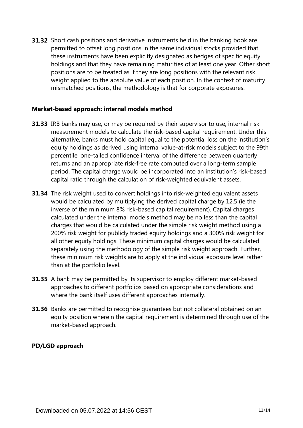**31.32** Short cash positions and derivative instruments held in the banking book are permitted to offset long positions in the same individual stocks provided that these instruments have been explicitly designated as hedges of specific equity holdings and that they have remaining maturities of at least one year. Other short positions are to be treated as if they are long positions with the relevant risk weight applied to the absolute value of each position. In the context of maturity mismatched positions, the methodology is that for corporate exposures.

## **Market-based approach: internal models method**

- **31.33** IRB banks may use, or may be required by their supervisor to use, internal risk measurement models to calculate the risk-based capital requirement. Under this alternative, banks must hold capital equal to the potential loss on the institution's equity holdings as derived using internal value-at-risk models subject to the 99th percentile, one-tailed confidence interval of the difference between quarterly returns and an appropriate risk-free rate computed over a long-term sample period. The capital charge would be incorporated into an institution's risk-based capital ratio through the calculation of risk-weighted equivalent assets.
- **31.34** The risk weight used to convert holdings into risk-weighted equivalent assets would be calculated by multiplying the derived capital charge by 12.5 (ie the inverse of the minimum 8% risk-based capital requirement). Capital charges calculated under the internal models method may be no less than the capital charges that would be calculated under the simple risk weight method using a 200% risk weight for publicly traded equity holdings and a 300% risk weight for all other equity holdings. These minimum capital charges would be calculated separately using the methodology of the simple risk weight approach. Further, these minimum risk weights are to apply at the individual exposure level rather than at the portfolio level.
- **31.35** A bank may be permitted by its supervisor to employ different market-based approaches to different portfolios based on appropriate considerations and where the bank itself uses different approaches internally.
- **31.36** Banks are permitted to recognise guarantees but not collateral obtained on an equity position wherein the capital requirement is determined through use of the market-based approach.

#### **PD/LGD approach**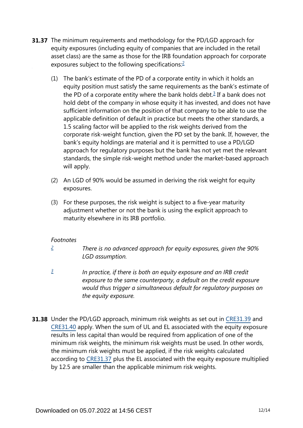- <span id="page-11-3"></span><span id="page-11-2"></span>**31.37** The minimum requirements and methodology for the PD/LGD approach for equity exposures (including equity of companies that are included in the retail asset class) are the same as those for the IRB foundation approach for corporate exposures subject to the following specifications:[2](#page-11-0)
	- (1) The bank's estimate of the PD of a corporate entity in which it holds an equity position must satisfy the same requirements as the bank's estimate of the PD of a corporate entity where the bank holds debt. $3$  If a bank does not hold debt of the company in whose equity it has invested, and does not have sufficient information on the position of that company to be able to use the applicable definition of default in practice but meets the other standards, a 1.5 scaling factor will be applied to the risk weights derived from the corporate risk-weight function, given the PD set by the bank. If, however, the bank's equity holdings are material and it is permitted to use a PD/LGD approach for regulatory purposes but the bank has not yet met the relevant standards, the simple risk-weight method under the market-based approach will apply.
	- (2) An LGD of 90% would be assumed in deriving the risk weight for equity exposures.
	- (3) For these purposes, the risk weight is subject to a five-year maturity adjustment whether or not the bank is using the explicit approach to maturity elsewhere in its IRB portfolio.

## *Footnotes*

- <span id="page-11-0"></span>*There is no advanced approach for equity exposures, given the 90% LGD assumption. [2](#page-11-2)*
- <span id="page-11-1"></span>*In practice, if there is both an equity exposure and an IRB credit exposure to the same counterparty, a default on the credit exposure would thus trigger a simultaneous default for regulatory purposes on the equity exposure. [3](#page-11-3)*
- **31.38** Under the PD/LGD approach, minimum risk weights as set out in [CRE31.39](https://www.bis.org/basel_framework/chapter/CRE/31.htm?tldate=20210228&inforce=20191215&published=20191215#paragraph_CRE_31_20191215_31_39) and [CRE31.40](https://www.bis.org/basel_framework/chapter/CRE/31.htm?tldate=20210228&inforce=20191215&published=20191215#paragraph_CRE_31_20191215_31_40) apply. When the sum of UL and EL associated with the equity exposure results in less capital than would be required from application of one of the minimum risk weights, the minimum risk weights must be used. In other words, the minimum risk weights must be applied, if the risk weights calculated according to [CRE31.37](https://www.bis.org/basel_framework/chapter/CRE/31.htm?tldate=20210228&inforce=20191215&published=20191215#paragraph_CRE_31_20191215_31_37) plus the EL associated with the equity exposure multiplied by 12.5 are smaller than the applicable minimum risk weights.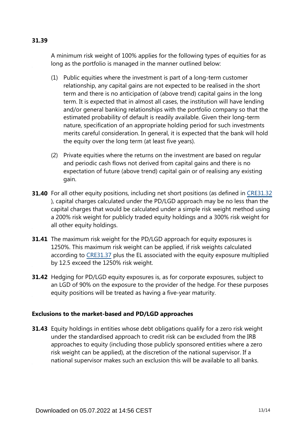# **31.39**

A minimum risk weight of 100% applies for the following types of equities for as long as the portfolio is managed in the manner outlined below:

- (1) Public equities where the investment is part of a long-term customer relationship, any capital gains are not expected to be realised in the short term and there is no anticipation of (above trend) capital gains in the long term. It is expected that in almost all cases, the institution will have lending and/or general banking relationships with the portfolio company so that the estimated probability of default is readily available. Given their long-term nature, specification of an appropriate holding period for such investments merits careful consideration. In general, it is expected that the bank will hold the equity over the long term (at least five years).
- (2) Private equities where the returns on the investment are based on regular and periodic cash flows not derived from capital gains and there is no expectation of future (above trend) capital gain or of realising any existing gain.
- **31.40** For all other equity positions, including net short positions (as defined in [CRE31.32](https://www.bis.org/basel_framework/chapter/CRE/31.htm?tldate=20210228&inforce=20191215&published=20191215#paragraph_CRE_31_20191215_31_32) ), capital charges calculated under the PD/LGD approach may be no less than the capital charges that would be calculated under a simple risk weight method using a 200% risk weight for publicly traded equity holdings and a 300% risk weight for all other equity holdings.
- **31.41** The maximum risk weight for the PD/LGD approach for equity exposures is 1250%. This maximum risk weight can be applied, if risk weights calculated according to [CRE31.37](https://www.bis.org/basel_framework/chapter/CRE/31.htm?tldate=20210228&inforce=20191215&published=20191215#paragraph_CRE_31_20191215_31_37) plus the EL associated with the equity exposure multiplied by 12.5 exceed the 1250% risk weight.
- **31.42** Hedging for PD/LGD equity exposures is, as for corporate exposures, subject to an LGD of 90% on the exposure to the provider of the hedge. For these purposes equity positions will be treated as having a five-year maturity.

## **Exclusions to the market-based and PD/LGD approaches**

**31.43** Equity holdings in entities whose debt obligations qualify for a zero risk weight under the standardised approach to credit risk can be excluded from the IRB approaches to equity (including those publicly sponsored entities where a zero risk weight can be applied), at the discretion of the national supervisor. If a national supervisor makes such an exclusion this will be available to all banks.